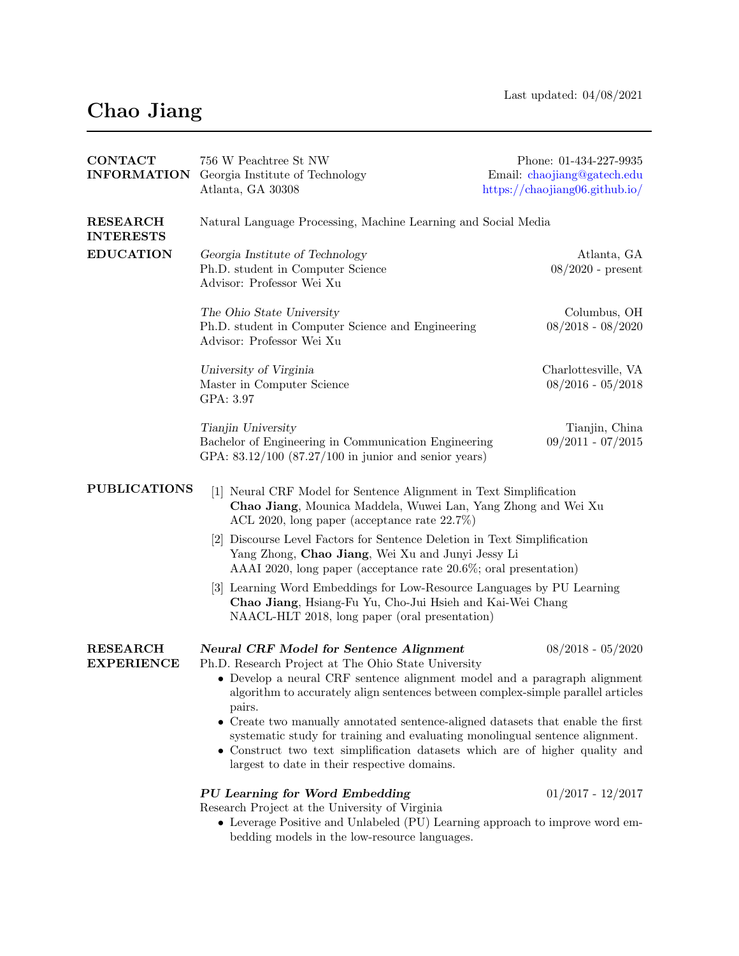## Chao Jiang

| <b>CONTACT</b>                      | 756 W Peachtree St NW                                                                                                                                                                                                                                                           | Phone: 01-434-227-9935             |  |
|-------------------------------------|---------------------------------------------------------------------------------------------------------------------------------------------------------------------------------------------------------------------------------------------------------------------------------|------------------------------------|--|
| <b>INFORMATION</b>                  | Georgia Institute of Technology                                                                                                                                                                                                                                                 | Email: chaojiang@gatech.edu        |  |
|                                     | Atlanta, GA 30308                                                                                                                                                                                                                                                               | https:// $chaojiang06$ .github.io/ |  |
| <b>RESEARCH</b><br><b>INTERESTS</b> | Natural Language Processing, Machine Learning and Social Media                                                                                                                                                                                                                  |                                    |  |
| <b>EDUCATION</b>                    | Georgia Institute of Technology                                                                                                                                                                                                                                                 | Atlanta, GA                        |  |
|                                     | Ph.D. student in Computer Science                                                                                                                                                                                                                                               | $08/2020$ - present                |  |
|                                     | Advisor: Professor Wei Xu                                                                                                                                                                                                                                                       |                                    |  |
|                                     | The Ohio State University                                                                                                                                                                                                                                                       | Columbus, OH                       |  |
|                                     | Ph.D. student in Computer Science and Engineering                                                                                                                                                                                                                               | $08/2018 - 08/2020$                |  |
|                                     | Advisor: Professor Wei Xu                                                                                                                                                                                                                                                       |                                    |  |
|                                     | University of Virginia                                                                                                                                                                                                                                                          | Charlottesville, VA                |  |
|                                     | Master in Computer Science                                                                                                                                                                                                                                                      | $08/2016 - 05/2018$                |  |
|                                     | GPA: 3.97                                                                                                                                                                                                                                                                       |                                    |  |
|                                     | Tianjin University                                                                                                                                                                                                                                                              | Tianjin, China                     |  |
|                                     | Bachelor of Engineering in Communication Engineering                                                                                                                                                                                                                            | $09/2011 - 07/2015$                |  |
|                                     | GPA: $83.12/100$ $(87.27/100 \text{ in } j$ unior and senior years)                                                                                                                                                                                                             |                                    |  |
|                                     |                                                                                                                                                                                                                                                                                 |                                    |  |
| <b>PUBLICATIONS</b>                 | [1] Neural CRF Model for Sentence Alignment in Text Simplification                                                                                                                                                                                                              |                                    |  |
|                                     | Chao Jiang, Mounica Maddela, Wuwei Lan, Yang Zhong and Wei Xu<br>ACL 2020, long paper (acceptance rate $22.7\%$ )                                                                                                                                                               |                                    |  |
|                                     | [2] Discourse Level Factors for Sentence Deletion in Text Simplification<br>Yang Zhong, Chao Jiang, Wei Xu and Junyi Jessy Li<br>AAAI 2020, long paper (acceptance rate $20.6\%$ ; oral presentation)<br>[3] Learning Word Embeddings for Low-Resource Languages by PU Learning |                                    |  |
|                                     |                                                                                                                                                                                                                                                                                 |                                    |  |
|                                     |                                                                                                                                                                                                                                                                                 |                                    |  |
|                                     | Chao Jiang, Hsiang-Fu Yu, Cho-Jui Hsieh and Kai-Wei Chang                                                                                                                                                                                                                       |                                    |  |
|                                     | NAACL-HLT 2018, long paper (oral presentation)                                                                                                                                                                                                                                  |                                    |  |
|                                     |                                                                                                                                                                                                                                                                                 |                                    |  |
| <b>RESEARCH</b>                     | <b>Neural CRF Model for Sentence Alignment</b>                                                                                                                                                                                                                                  | $08/2018 - 05/2020$                |  |
| <b>EXPERIENCE</b>                   | Ph.D. Research Project at The Ohio State University                                                                                                                                                                                                                             |                                    |  |
|                                     | • Develop a neural CRF sentence alignment model and a paragraph alignment<br>algorithm to accurately align sentences between complex-simple parallel articles                                                                                                                   |                                    |  |
|                                     | pairs.                                                                                                                                                                                                                                                                          |                                    |  |
|                                     | • Create two manually annotated sentence-aligned datasets that enable the first                                                                                                                                                                                                 |                                    |  |
|                                     | systematic study for training and evaluating monolingual sentence alignment.<br>• Construct two text simplification datasets which are of higher quality and                                                                                                                    |                                    |  |
|                                     | largest to date in their respective domains.                                                                                                                                                                                                                                    |                                    |  |
|                                     |                                                                                                                                                                                                                                                                                 |                                    |  |
|                                     | PU Learning for Word Embedding<br>Research Project at the University of Virginia                                                                                                                                                                                                | $01/2017 - 12/2017$                |  |
|                                     | • Leverage Positive and Unlabeled (PU) Learning approach to improve word em-                                                                                                                                                                                                    |                                    |  |
|                                     | bedding models in the low-resource languages.                                                                                                                                                                                                                                   |                                    |  |